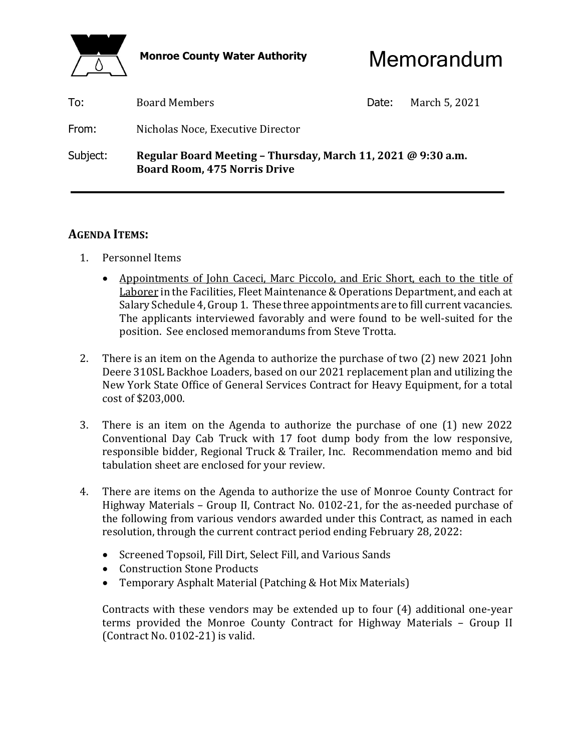

Monroe County Water Authority **Memorandum** 

| To:      | <b>Board Members</b>                                                                                | Date: | March 5, 2021 |
|----------|-----------------------------------------------------------------------------------------------------|-------|---------------|
| From:    | Nicholas Noce, Executive Director                                                                   |       |               |
| Subject: | Regular Board Meeting – Thursday, March 11, 2021 @ 9:30 a.m.<br><b>Board Room, 475 Norris Drive</b> |       |               |

# **AGENDA ITEMS:**

- 1. Personnel Items
	- Appointments of John Caceci, Marc Piccolo, and Eric Short, each to the title of Laborer in the Facilities, Fleet Maintenance & Operations Department, and each at Salary Schedule 4, Group 1. These three appointments are to fill current vacancies. The applicants interviewed favorably and were found to be well-suited for the position. See enclosed memorandums from Steve Trotta.
- 2. There is an item on the Agenda to authorize the purchase of two (2) new 2021 John Deere 310SL Backhoe Loaders, based on our 2021 replacement plan and utilizing the New York State Office of General Services Contract for Heavy Equipment, for a total cost of \$203,000.
- 3. There is an item on the Agenda to authorize the purchase of one (1) new 2022 Conventional Day Cab Truck with 17 foot dump body from the low responsive, responsible bidder, Regional Truck & Trailer, Inc. Recommendation memo and bid tabulation sheet are enclosed for your review.
- 4. There are items on the Agenda to authorize the use of Monroe County Contract for Highway Materials – Group II, Contract No. 0102-21, for the as-needed purchase of the following from various vendors awarded under this Contract, as named in each resolution, through the current contract period ending February 28, 2022:
	- Screened Topsoil, Fill Dirt, Select Fill, and Various Sands
	- Construction Stone Products
	- Temporary Asphalt Material (Patching & Hot Mix Materials)

 Contracts with these vendors may be extended up to four (4) additional one-year terms provided the Monroe County Contract for Highway Materials – Group II (Contract No. 0102-21) is valid.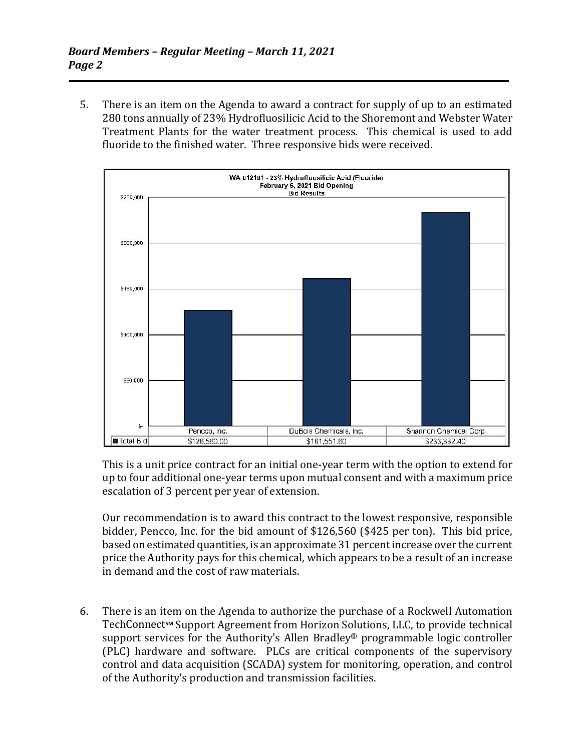5. There is an item on the Agenda to award a contract for supply of up to an estimated 280 tons annually of 23% Hydrofluosilicic Acid to the Shoremont and Webster Water Treatment Plants for the water treatment process. This chemical is used to add fluoride to the finished water. Three responsive bids were received.



 This is a unit price contract for an initial one-year term with the option to extend for up to four additional one-year terms upon mutual consent and with a maximum price escalation of 3 percent per year of extension.

 Our recommendation is to award this contract to the lowest responsive, responsible bidder, Pencco, Inc. for the bid amount of \$126,560 (\$425 per ton). This bid price, based on estimated quantities, is an approximate 31 percent increase over the current price the Authority pays for this chemical, which appears to be a result of an increase in demand and the cost of raw materials.

 6. There is an item on the Agenda to authorize the purchase of a Rockwell Automation TechConnect<sup>™</sup> Support Agreement from Horizon Solutions, LLC, to provide technical support services for the Authority's Allen Bradley® programmable logic controller (PLC) hardware and software. PLCs are critical components of the supervisory control and data acquisition (SCADA) system for monitoring, operation, and control of the Authority's production and transmission facilities.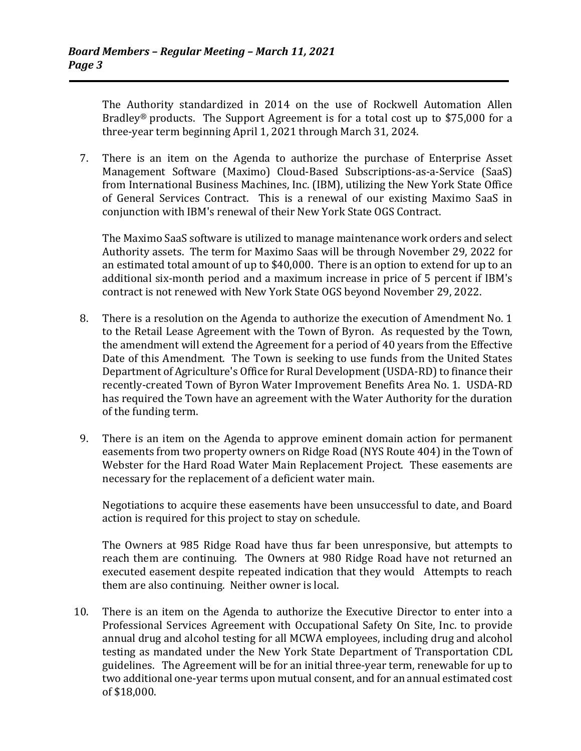The Authority standardized in 2014 on the use of Rockwell Automation Allen Bradley® products. The Support Agreement is for a total cost up to \$75,000 for a three-year term beginning April 1, 2021 through March 31, 2024.

 7. There is an item on the Agenda to authorize the purchase of Enterprise Asset Management Software (Maximo) Cloud-Based Subscriptions-as-a-Service (SaaS) from International Business Machines, Inc. (IBM), utilizing the New York State Office of General Services Contract. This is a renewal of our existing Maximo SaaS in conjunction with IBM's renewal of their New York State OGS Contract.

 The Maximo SaaS software is utilized to manage maintenance work orders and select Authority assets. The term for Maximo Saas will be through November 29, 2022 for an estimated total amount of up to \$40,000. There is an option to extend for up to an additional six-month period and a maximum increase in price of 5 percent if IBM's contract is not renewed with New York State OGS beyond November 29, 2022.

- 8. There is a resolution on the Agenda to authorize the execution of Amendment No. 1 to the Retail Lease Agreement with the Town of Byron. As requested by the Town, the amendment will extend the Agreement for a period of 40 years from the Effective Date of this Amendment. The Town is seeking to use funds from the United States Department of Agriculture's Office for Rural Development (USDA-RD) to finance their recently-created Town of Byron Water Improvement Benefits Area No. 1. USDA-RD has required the Town have an agreement with the Water Authority for the duration of the funding term.
- 9. There is an item on the Agenda to approve eminent domain action for permanent easements from two property owners on Ridge Road (NYS Route 404) in the Town of Webster for the Hard Road Water Main Replacement Project. These easements are necessary for the replacement of a deficient water main.

 Negotiations to acquire these easements have been unsuccessful to date, and Board action is required for this project to stay on schedule.

 The Owners at 985 Ridge Road have thus far been unresponsive, but attempts to reach them are continuing. The Owners at 980 Ridge Road have not returned an executed easement despite repeated indication that they would Attempts to reach them are also continuing. Neither owner is local.

 10. There is an item on the Agenda to authorize the Executive Director to enter into a Professional Services Agreement with Occupational Safety On Site, Inc. to provide annual drug and alcohol testing for all MCWA employees, including drug and alcohol testing as mandated under the New York State Department of Transportation CDL guidelines. The Agreement will be for an initial three-year term, renewable for up to two additional one-year terms upon mutual consent, and for an annual estimated cost of \$18,000.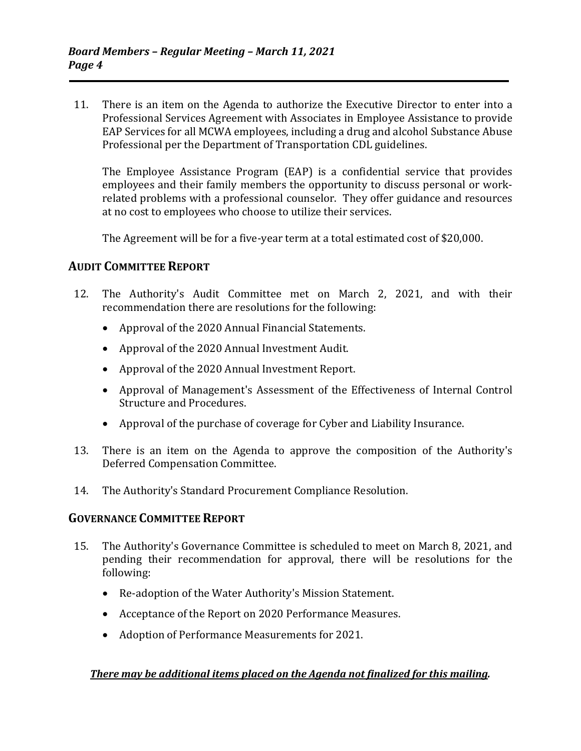11. There is an item on the Agenda to authorize the Executive Director to enter into a Professional Services Agreement with Associates in Employee Assistance to provide EAP Services for all MCWA employees, including a drug and alcohol Substance Abuse Professional per the Department of Transportation CDL guidelines.

 The Employee Assistance Program (EAP) is a confidential service that provides employees and their family members the opportunity to discuss personal or workrelated problems with a professional counselor. They offer guidance and resources at no cost to employees who choose to utilize their services.

The Agreement will be for a five-year term at a total estimated cost of \$20,000.

# **AUDIT COMMITTEE REPORT**

- 12. The Authority's Audit Committee met on March 2, 2021, and with their recommendation there are resolutions for the following:
	- Approval of the 2020 Annual Financial Statements.
	- Approval of the 2020 Annual Investment Audit.
	- Approval of the 2020 Annual Investment Report.
	- Approval of Management's Assessment of the Effectiveness of Internal Control Structure and Procedures.
	- Approval of the purchase of coverage for Cyber and Liability Insurance.
- 13. There is an item on the Agenda to approve the composition of the Authority's Deferred Compensation Committee.
- 14. The Authority's Standard Procurement Compliance Resolution.

### **GOVERNANCE COMMITTEE REPORT**

- 15. The Authority's Governance Committee is scheduled to meet on March 8, 2021, and pending their recommendation for approval, there will be resolutions for the following:
	- Re-adoption of the Water Authority's Mission Statement.
	- Acceptance of the Report on 2020 Performance Measures.
	- Adoption of Performance Measurements for 2021.

### *There may be additional items placed on the Agenda not finalized for this mailing.*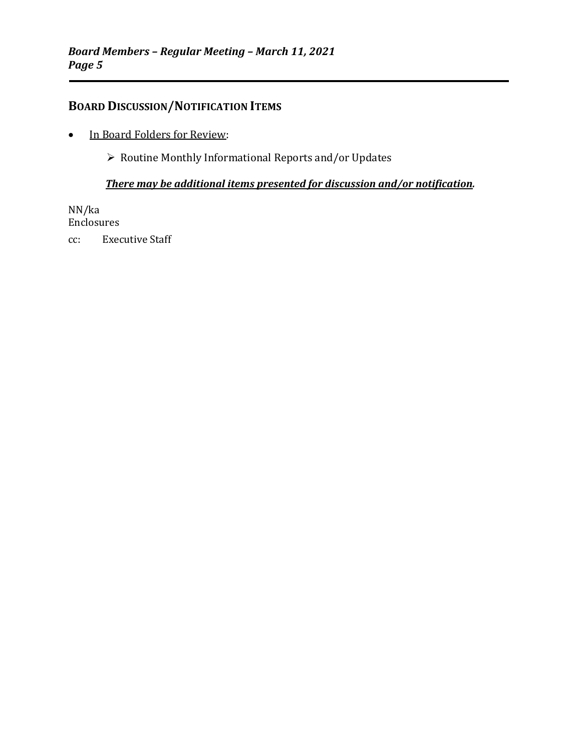# **BOARD DISCUSSION/NOTIFICATION ITEMS**

• In Board Folders for Review:

 $\triangleright$  Routine Monthly Informational Reports and/or Updates

### *There may be additional items presented for discussion and/or notification.*

NN/ka Enclosures cc: Executive Staff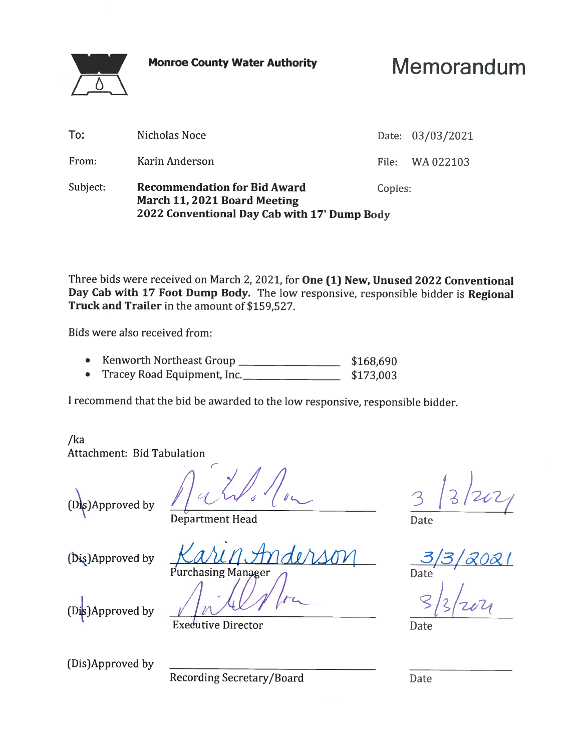**Monroe County Water Authority** 

Memorandum

|          | 2022 Conventional Day Cab with 17' Dump Body                        |         |                  |
|----------|---------------------------------------------------------------------|---------|------------------|
| Subject: | <b>Recommendation for Bid Award</b><br>March 11, 2021 Board Meeting | Copies: |                  |
| From:    | Karin Anderson                                                      | File:   | WA 022103        |
| To:      | Nicholas Noce                                                       |         | Date: 03/03/2021 |
|          |                                                                     |         |                  |

Three bids were received on March 2, 2021, for One (1) New, Unused 2022 Conventional Day Cab with 17 Foot Dump Body. The low responsive, responsible bidder is Regional Truck and Trailer in the amount of \$159,527.

Bids were also received from:

 $\bigwedge$ 

- Kenworth Northeast Group  $\bullet$ \$168,690
- Tracey Road Equipment, Inc.  $\bullet$ \$173,003

I recommend that the bid be awarded to the low responsive, responsible bidder.

 $/ka$ Attachment: Bid Tabulation

(Dis)Approved by

Date

**Department Head** 

(Dis)Approved by

Purchasing Manager

Date

(Dis)Approved by

**Executive Director** 

(Dis)Approved by

Recording Secretary/Board

Date

Date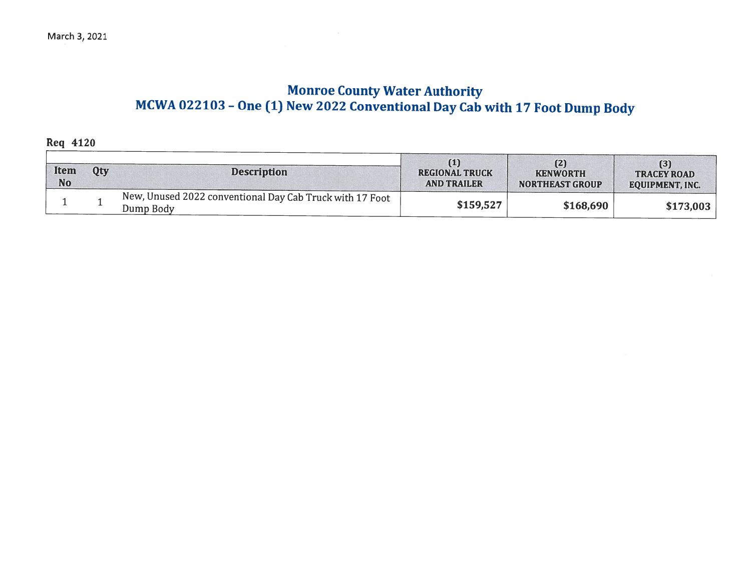# **Monroe County Water Authority** MCWA 022103 - One (1) New 2022 Conventional Day Cab with 17 Foot Dump Body

**Req 4120** 

| <b>Item</b><br><b>No</b> | Oty | <b>Description</b>                                                    | (1)<br><b>REGIONAL TRUCK</b><br><b>AND TRAILER</b> | (2)<br><b>KENWORTH</b><br><b>NORTHEAST GROUP</b> | (3)<br><b>TRACEY ROAD</b><br><b>EQUIPMENT, INC.</b> |
|--------------------------|-----|-----------------------------------------------------------------------|----------------------------------------------------|--------------------------------------------------|-----------------------------------------------------|
|                          |     | New, Unused 2022 conventional Day Cab Truck with 17 Foot<br>Dump Body | \$159,527                                          | \$168,690                                        | \$173,003                                           |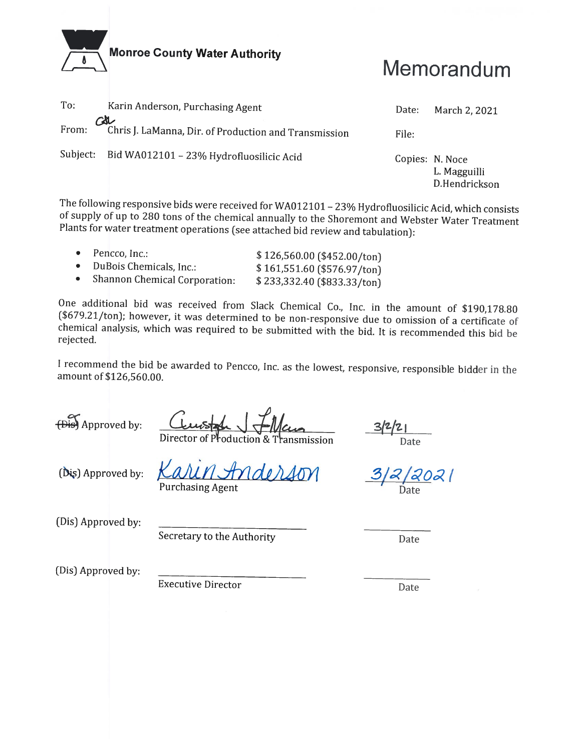

# Memorandum

| To:          | Karin Anderson, Purchasing Agent                      | Date:           | March 2, 2021                 |
|--------------|-------------------------------------------------------|-----------------|-------------------------------|
| CSU<br>From: | Chris J. LaManna, Dir. of Production and Transmission | File:           |                               |
|              | Subject: Bid WA012101 - 23% Hydrofluosilicic Acid     | Copies: N. Noce | L. Magguilli<br>D.Hendrickson |

The following responsive bids were received for WA012101 - 23% Hydrofluosilicic Acid, which consists of supply of up to 280 tons of the chemical annually to the Shoremont and Webster Water Treatment Plants for water treatment operations (see attached bid review and tabulation):

| $\bullet$ Pencco, Inc.:         | $$126,560.00$ (\$452.00/ton) |
|---------------------------------|------------------------------|
| • DuBois Chemicals, Inc.:       | $$161,551.60$ (\$576.97/ton) |
| • Shannon Chemical Corporation: | \$233,332.40 (\$833.33/ton)  |

One additional bid was received from Slack Chemical Co., Inc. in the amount of \$190,178.80 (\$679.21/ton); however, it was determined to be non-responsive due to omission of a certificate of chemical analysis, which was required to be submitted with the bid. It is recommended this bid be rejected.

I recommend the bid be awarded to Pencco, Inc. as the lowest, responsive, responsible bidder in the amount of \$126,560.00.

(Dist) Approved by:

oduction & nsmission

Date

(Dis) Approved by:

**Purchasing Agent** 

 $\tilde{\alpha}$ 12021 Date

(Dis) Approved by:

Secretary to the Authority

Date

(Dis) Approved by:

**Executive Director** 

Date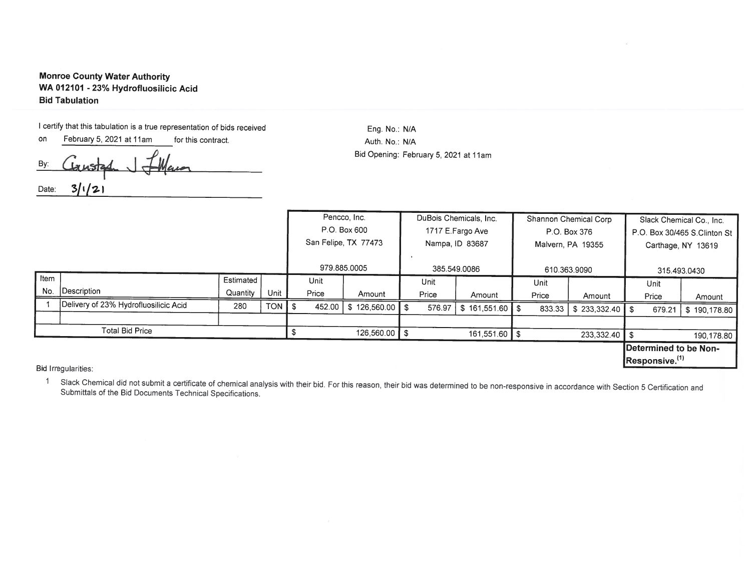#### **Monroe County Water Authority** WA 012101 - 23% Hydrofluosilicic Acid **Bid Tabulation**

I certify that this tabulation is a true representation of bids received

on February 5, 2021 at 11am for this contract. By:  $3/1/2$ Date:

Eng. No.: N/A Auth. No.: N/A Bid Opening: February 5, 2021 at 11am

|      |                                       |           |                      | Pencco, Inc. |                         |              | DuBois Chemicals, Inc. |                  | Shannon Chemical Corp |                              |                 | Slack Chemical Co., Inc. |                            |                       |
|------|---------------------------------------|-----------|----------------------|--------------|-------------------------|--------------|------------------------|------------------|-----------------------|------------------------------|-----------------|--------------------------|----------------------------|-----------------------|
|      |                                       |           | P.O. Box 600         |              | 1717 E.Fargo Ave        |              | P.O. Box 376           |                  |                       | P.O. Box 30/465 S.Clinton St |                 |                          |                            |                       |
|      |                                       |           | San Felipe, TX 77473 |              | Nampa, ID 83687         |              | Malvern, PA 19355      |                  | Carthage, NY 13619    |                              |                 |                          |                            |                       |
|      |                                       |           |                      |              |                         |              |                        |                  |                       |                              |                 |                          |                            |                       |
|      |                                       |           |                      | 979.885.0005 |                         | 385.549.0086 |                        | 610.363.9090     |                       | 315.493.0430                 |                 |                          |                            |                       |
| Item |                                       | Estimated |                      | Unit         |                         |              | Unit                   |                  |                       | Unit                         |                 |                          | Unit                       |                       |
| No.  | Description                           | Quantity  | Unit                 | Price        | Amount                  |              | Price                  | Amount           |                       | Price                        | Amount          |                          | Price                      | Amount                |
|      | Delivery of 23% Hydrofluosilicic Acid | 280       | <b>TON</b>           | 452.00       | 126,560.00 \$<br>\$     |              | 576.97                 | $$161,551.60$ \$ |                       | 833.33                       |                 |                          | 679.21                     | \$190,178.80          |
|      |                                       |           |                      |              |                         |              |                        |                  |                       |                              |                 |                          |                            |                       |
|      | <b>Total Bid Price</b>                |           |                      |              | 126,560.00 $\textsf{S}$ |              |                        | 161,551.60 \$    |                       |                              | $233,332.40$ \$ |                          |                            | 190,178.80            |
|      |                                       |           |                      |              |                         |              |                        |                  |                       |                              |                 |                          |                            | Determined to be Non- |
|      | <b>Third design and a state of</b>    |           |                      |              |                         |              |                        |                  |                       |                              |                 |                          | Responsive. <sup>(1)</sup> |                       |

Bid Irregularities:

1 Slack Chemical did not submit a certificate of chemical analysis with their bid. For this reason, their bid was determined to be non-responsive in accordance with Section 5 Certification and Submittals of the Bid Documents Technical Specifications.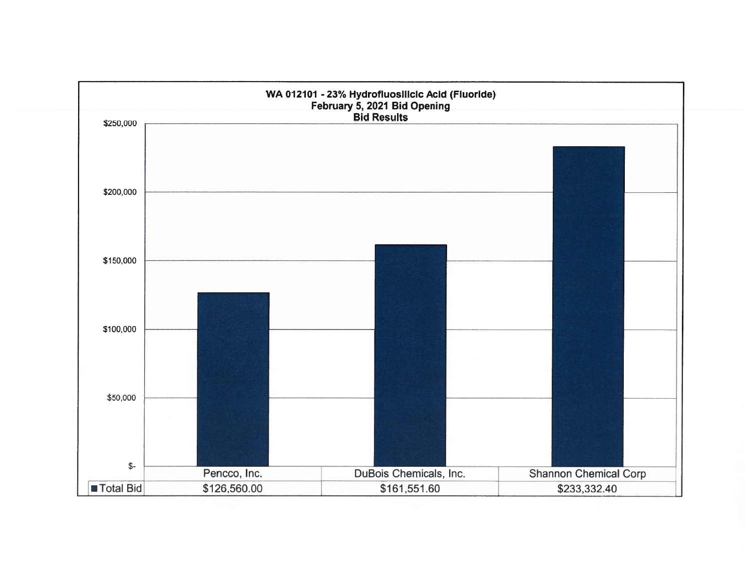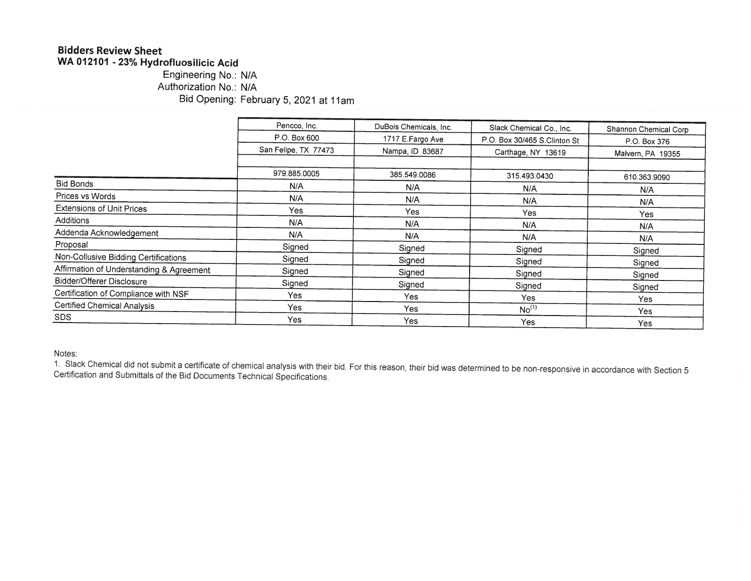# **Bidders Review Sheet**

WA 012101 - 23% Hydrofluosilicic Acid

### Engineering No.: N/A Authorization No.: N/A Bid Opening: February 5, 2021 at 11am

|                                          | Pencco, Inc.         | DuBois Chemicals, Inc. |                              |                       |
|------------------------------------------|----------------------|------------------------|------------------------------|-----------------------|
|                                          |                      |                        | Slack Chemical Co., Inc.     | Shannon Chemical Corp |
|                                          | P.O. Box 600         | 1717 E.Fargo Ave       | P.O. Box 30/465 S.Clinton St | P.O. Box 376          |
|                                          | San Felipe, TX 77473 | Nampa, ID 83687        | Carthage, NY 13619           | Malvern, PA 19355     |
|                                          | 979.885.0005         |                        |                              |                       |
| <b>Bid Bonds</b>                         |                      | 385.549.0086           | 315.493.0430                 | 610.363.9090          |
|                                          | N/A                  | N/A                    | N/A                          | N/A                   |
| Prices vs Words                          | N/A                  | N/A                    | N/A                          | N/A                   |
| <b>Extensions of Unit Prices</b>         | <b>Yes</b>           | <b>Yes</b>             | Yes                          | <b>Yes</b>            |
| <b>Additions</b>                         | N/A                  | N/A                    | N/A                          | N/A                   |
| Addenda Acknowledgement                  | N/A                  | N/A                    | N/A                          | N/A                   |
| Proposal                                 | Signed               | Signed                 | Signed                       | Signed                |
| Non-Collusive Bidding Certifications     | Signed               | Signed                 | Signed                       | Signed                |
| Affirmation of Understanding & Agreement | Signed               | Signed                 | Signed                       | Signed                |
| Bidder/Offerer Disclosure                | Signed               | Signed                 | Signed                       |                       |
| Certification of Compliance with NSF     | Yes                  | <b>Yes</b>             | <b>Yes</b>                   | Signed                |
| <b>Certified Chemical Analysis</b>       | Yes                  | Yes                    | No <sup>(1)</sup>            | Yes                   |
| SDS.                                     | Yes                  | Yes                    | Yes                          | Yes<br>Yes            |

Notes:

1. Slack Chemical did not submit a certificate of chemical analysis with their bid. For this reason, their bid was determined to be non-responsive in accordance with Section 5 Certification and Submittals of the Bid Documents Technical Specifications.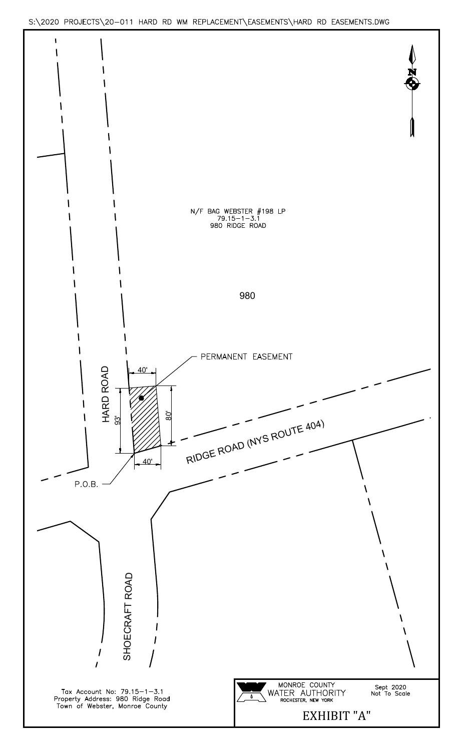